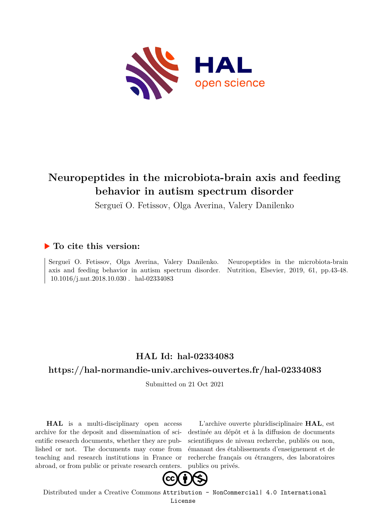

# **Neuropeptides in the microbiota-brain axis and feeding behavior in autism spectrum disorder**

Sergueï O. Fetissov, Olga Averina, Valery Danilenko

## **To cite this version:**

Sergueï O. Fetissov, Olga Averina, Valery Danilenko. Neuropeptides in the microbiota-brain axis and feeding behavior in autism spectrum disorder. Nutrition, Elsevier, 2019, 61, pp.43-48. 10.1016/j.nut.2018.10.030. hal-02334083

# **HAL Id: hal-02334083**

## **<https://hal-normandie-univ.archives-ouvertes.fr/hal-02334083>**

Submitted on 21 Oct 2021

**HAL** is a multi-disciplinary open access archive for the deposit and dissemination of scientific research documents, whether they are published or not. The documents may come from teaching and research institutions in France or abroad, or from public or private research centers.

L'archive ouverte pluridisciplinaire **HAL**, est destinée au dépôt et à la diffusion de documents scientifiques de niveau recherche, publiés ou non, émanant des établissements d'enseignement et de recherche français ou étrangers, des laboratoires publics ou privés.



Distributed under a Creative Commons [Attribution - NonCommercial| 4.0 International](http://creativecommons.org/licenses/by-nc/4.0/) [License](http://creativecommons.org/licenses/by-nc/4.0/)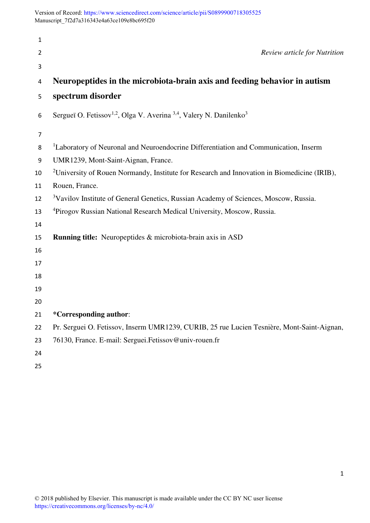Version of Record: <https://www.sciencedirect.com/science/article/pii/S0899900718305525> Manuscript\_7f2d7a316343e4a63ce109e8bc695f20

| 1  |                                                                                                         |
|----|---------------------------------------------------------------------------------------------------------|
| 2  | <b>Review article for Nutrition</b>                                                                     |
| 3  |                                                                                                         |
| 4  | Neuropeptides in the microbiota-brain axis and feeding behavior in autism                               |
| 5  | spectrum disorder                                                                                       |
| 6  | Sergueï O. Fetissov <sup>1,2</sup> , Olga V. Averina <sup>3,4</sup> , Valery N. Danilenko <sup>3</sup>  |
| 7  |                                                                                                         |
| 8  | <sup>1</sup> Laboratory of Neuronal and Neuroendocrine Differentiation and Communication, Inserm        |
| 9  | UMR1239, Mont-Saint-Aignan, France.                                                                     |
| 10 | <sup>2</sup> University of Rouen Normandy, Institute for Research and Innovation in Biomedicine (IRIB), |
| 11 | Rouen, France.                                                                                          |
| 12 | <sup>3</sup> Vavilov Institute of General Genetics, Russian Academy of Sciences, Moscow, Russia.        |
| 13 | <sup>4</sup> Pirogov Russian National Research Medical University, Moscow, Russia.                      |
| 14 |                                                                                                         |
| 15 | <b>Running title:</b> Neuropeptides & microbiota-brain axis in ASD                                      |
| 16 |                                                                                                         |
| 17 |                                                                                                         |
| 18 |                                                                                                         |
| 19 |                                                                                                         |
| 20 |                                                                                                         |
| 21 | *Corresponding author:                                                                                  |
| 22 | Pr. Serguei O. Fetissov, Inserm UMR1239, CURIB, 25 rue Lucien Tesnière, Mont-Saint-Aignan,              |
| 23 | 76130, France. E-mail: Serguei. Fetissov@univ-rouen.fr                                                  |
| 24 |                                                                                                         |
| 25 |                                                                                                         |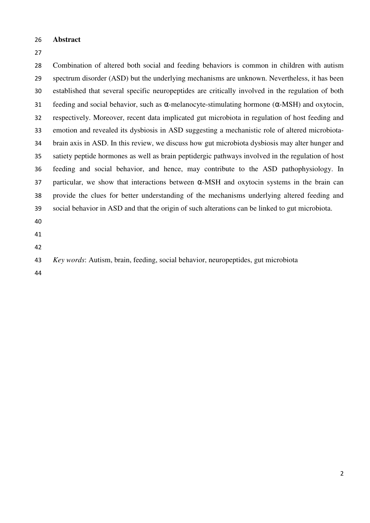#### **Abstract**

Combination of altered both social and feeding behaviors is common in children with autism spectrum disorder (ASD) but the underlying mechanisms are unknown. Nevertheless, it has been established that several specific neuropeptides are critically involved in the regulation of both 31 feeding and social behavior, such as  $\alpha$ -melanocyte-stimulating hormone ( $\alpha$ -MSH) and oxytocin, respectively. Moreover, recent data implicated gut microbiota in regulation of host feeding and emotion and revealed its dysbiosis in ASD suggesting a mechanistic role of altered microbiota-brain axis in ASD. In this review, we discuss how gut microbiota dysbiosis may alter hunger and satiety peptide hormones as well as brain peptidergic pathways involved in the regulation of host feeding and social behavior, and hence, may contribute to the ASD pathophysiology. In 37 particular, we show that interactions between  $\alpha$ -MSH and oxytocin systems in the brain can provide the clues for better understanding of the mechanisms underlying altered feeding and social behavior in ASD and that the origin of such alterations can be linked to gut microbiota. *Key words*: Autism, brain, feeding, social behavior, neuropeptides, gut microbiota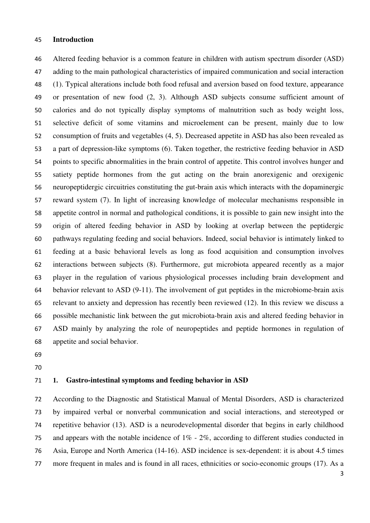#### **Introduction**

Altered feeding behavior is a common feature in children with autism spectrum disorder (ASD) adding to the main pathological characteristics of impaired communication and social interaction (1). Typical alterations include both food refusal and aversion based on food texture, appearance or presentation of new food (2, 3). Although ASD subjects consume sufficient amount of calories and do not typically display symptoms of malnutrition such as body weight loss, selective deficit of some vitamins and microelement can be present, mainly due to low consumption of fruits and vegetables (4, 5). Decreased appetite in ASD has also been revealed as a part of depression-like symptoms (6). Taken together, the restrictive feeding behavior in ASD points to specific abnormalities in the brain control of appetite. This control involves hunger and satiety peptide hormones from the gut acting on the brain anorexigenic and orexigenic neuropeptidergic circuitries constituting the gut-brain axis which interacts with the dopaminergic reward system (7). In light of increasing knowledge of molecular mechanisms responsible in appetite control in normal and pathological conditions, it is possible to gain new insight into the origin of altered feeding behavior in ASD by looking at overlap between the peptidergic pathways regulating feeding and social behaviors. Indeed, social behavior is intimately linked to feeding at a basic behavioral levels as long as food acquisition and consumption involves interactions between subjects (8). Furthermore, gut microbiota appeared recently as a major player in the regulation of various physiological processes including brain development and behavior relevant to ASD (9-11). The involvement of gut peptides in the microbiome-brain axis relevant to anxiety and depression has recently been reviewed (12). In this review we discuss a possible mechanistic link between the gut microbiota-brain axis and altered feeding behavior in ASD mainly by analyzing the role of neuropeptides and peptide hormones in regulation of appetite and social behavior.

- 
- 

## **1. Gastro-intestinal symptoms and feeding behavior in ASD**

According to the Diagnostic and Statistical Manual of Mental Disorders, ASD is characterized by impaired verbal or nonverbal communication and social interactions, and stereotyped or repetitive behavior (13). ASD is a neurodevelopmental disorder that begins in early childhood and appears with the notable incidence of 1% - 2%, according to different studies conducted in Asia, Europe and North America (14-16). ASD incidence is sex-dependent: it is about 4.5 times more frequent in males and is found in all races, ethnicities or socio-economic groups (17). As a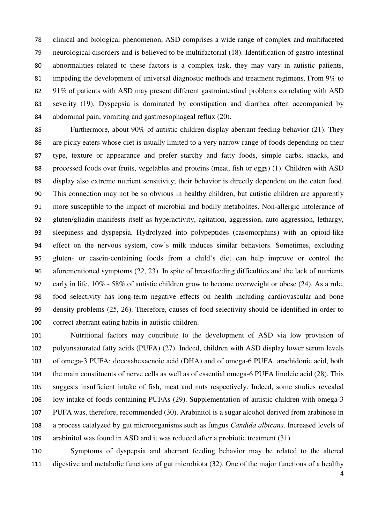clinical and biological phenomenon, ASD comprises a wide range of complex and multifaceted neurological disorders and is believed to be multifactorial (18). Identification of gastro-intestinal abnormalities related to these factors is a complex task, they may vary in autistic patients, impeding the development of universal diagnostic methods and treatment regimens. From 9% to 91% of patients with ASD may present different gastrointestinal problems correlating with ASD severity (19). Dyspepsia is dominated by constipation and diarrhea often accompanied by abdominal pain, vomiting and gastroesophageal reflux (20).

Furthermore, about 90% of autistic children display aberrant feeding behavior (21). They are picky eaters whose diet is usually limited to a very narrow range of foods depending on their type, texture or appearance and prefer starchy and fatty foods, simple carbs, snacks, and processed foods over fruits, vegetables and proteins (meat, fish or eggs) (1). Children with ASD display also extreme nutrient sensitivity; their behavior is directly dependent on the eaten food. This connection may not be so obvious in healthy children, but autistic children are apparently more susceptible to the impact of microbial and bodily metabolites. Non-allergic intolerance of gluten/gliadin manifests itself as hyperactivity, agitation, aggression, auto-aggression, lethargy, sleepiness and dyspepsia. Hydrolyzed into polypeptides (casomorphins) with an opioid-like effect on the nervous system, cow's milk induces similar behaviors. Sometimes, excluding gluten- or casein-containing foods from a child's diet can help improve or control the aforementioned symptoms (22, 23). In spite of breastfeeding difficulties and the lack of nutrients early in life, 10% - 58% of autistic children grow to become overweight or obese (24). As a rule, food selectivity has long-term negative effects on health including cardiovascular and bone density problems (25, 26). Therefore, causes of food selectivity should be identified in order to correct aberrant eating habits in autistic children.

Nutritional factors may contribute to the development of ASD via low provision of polyunsaturated fatty acids (PUFA) (27). Indeed, children with ASD display lower serum levels of omega-3 PUFA: docosahexaenoic acid (DHA) and of omega-6 PUFA, arachidonic acid, both the main constituents of nerve cells as well as of essential omega-6 PUFA linoleic acid (28). This suggests insufficient intake of fish, meat and nuts respectively. Indeed, some studies revealed low intake of foods containing PUFAs (29). Supplementation of autistic children with omega-3 PUFA was, therefore, recommended (30). Arabinitol is a sugar alcohol derived from arabinose in a process catalyzed by gut microorganisms such as fungus *Candida albicans*. Increased levels of arabinitol was found in ASD and it was reduced after a probiotic treatment (31).

Symptoms of dyspepsia and aberrant feeding behavior may be related to the altered digestive and metabolic functions of gut microbiota (32). One of the major functions of a healthy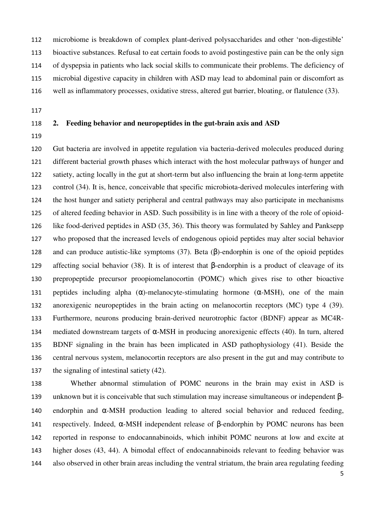microbiome is breakdown of complex plant-derived polysaccharides and other 'non-digestible' bioactive substances. Refusal to eat certain foods to avoid postingestive pain can be the only sign of dyspepsia in patients who lack social skills to communicate their problems. The deficiency of microbial digestive capacity in children with ASD may lead to abdominal pain or discomfort as well as inflammatory processes, oxidative stress, altered gut barrier, bloating, or flatulence (33).

## **2. Feeding behavior and neuropeptides in the gut-brain axis and ASD**

Gut bacteria are involved in appetite regulation via bacteria-derived molecules produced during different bacterial growth phases which interact with the host molecular pathways of hunger and satiety, acting locally in the gut at short-term but also influencing the brain at long-term appetite control (34). It is, hence, conceivable that specific microbiota-derived molecules interfering with the host hunger and satiety peripheral and central pathways may also participate in mechanisms of altered feeding behavior in ASD. Such possibility is in line with a theory of the role of opioid-like food-derived peptides in ASD (35, 36). This theory was formulated by Sahley and Panksepp who proposed that the increased levels of endogenous opioid peptides may alter social behavior and can produce autistic-like symptoms (37). Beta (β)-endorphin is one of the opioid peptides affecting social behavior (38). It is of interest that β-endorphin is a product of cleavage of its prepropeptide precursor proopiomelanocortin (POMC) which gives rise to other bioactive 131 peptides including alpha  $(\alpha)$ -melanocyte-stimulating hormone  $(\alpha$ -MSH), one of the main anorexigenic neuropeptides in the brain acting on melanocortin receptors (MC) type 4 (39). Furthermore, neurons producing brain-derived neurotrophic factor (BDNF) appear as MC4R-134 mediated downstream targets of  $\alpha$ -MSH in producing anorexigenic effects (40). In turn, altered BDNF signaling in the brain has been implicated in ASD pathophysiology (41). Beside the central nervous system, melanocortin receptors are also present in the gut and may contribute to the signaling of intestinal satiety (42).

Whether abnormal stimulation of POMC neurons in the brain may exist in ASD is unknown but it is conceivable that such stimulation may increase simultaneous or independent β-endorphin and α-MSH production leading to altered social behavior and reduced feeding, respectively. Indeed, α-MSH independent release of β-endorphin by POMC neurons has been reported in response to endocannabinoids, which inhibit POMC neurons at low and excite at higher doses (43, 44). A bimodal effect of endocannabinoids relevant to feeding behavior was also observed in other brain areas including the ventral striatum, the brain area regulating feeding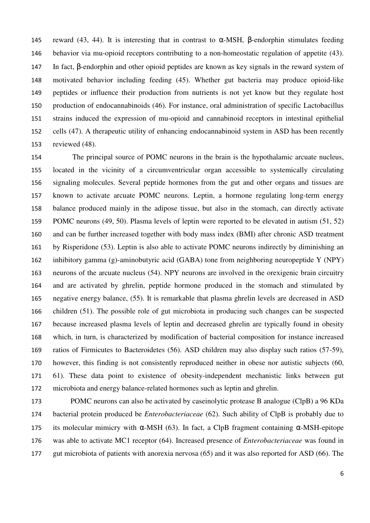145 reward (43, 44). It is interesting that in contrast to α-MSH, β-endorphin stimulates feeding behavior via mu-opioid receptors contributing to a non-homeostatic regulation of appetite (43). In fact, β-endorphin and other opioid peptides are known as key signals in the reward system of motivated behavior including feeding (45). Whether gut bacteria may produce opioid-like peptides or influence their production from nutrients is not yet know but they regulate host production of endocannabinoids (46). For instance, oral administration of specific Lactobacillus strains induced the expression of mu-opioid and cannabinoid receptors in intestinal epithelial cells (47). A therapeutic utility of enhancing endocannabinoid system in ASD has been recently reviewed (48).

The principal source of POMC neurons in the brain is the hypothalamic arcuate nucleus, located in the vicinity of a circumventricular organ accessible to systemically circulating signaling molecules. Several peptide hormones from the gut and other organs and tissues are known to activate arcuate POMC neurons. Leptin, a hormone regulating long-term energy balance produced mainly in the adipose tissue, but also in the stomach, can directly activate POMC neurons (49, 50). Plasma levels of leptin were reported to be elevated in autism (51, 52) and can be further increased together with body mass index (BMI) after chronic ASD treatment by Risperidone (53). Leptin is also able to activate POMC neurons indirectly by diminishing an inhibitory gamma (g)-aminobutyric acid (GABA) tone from neighboring neuropeptide Y (NPY) neurons of the arcuate nucleus (54). NPY neurons are involved in the orexigenic brain circuitry and are activated by ghrelin, peptide hormone produced in the stomach and stimulated by negative energy balance, (55). It is remarkable that plasma ghrelin levels are decreased in ASD children (51). The possible role of gut microbiota in producing such changes can be suspected because increased plasma levels of leptin and decreased ghrelin are typically found in obesity which, in turn, is characterized by modification of bacterial composition for instance increased ratios of Firmicutes to Bacteroidetes (56). ASD children may also display such ratios (57-59), however, this finding is not consistently reproduced neither in obese nor autistic subjects (60, 61). These data point to existence of obesity-independent mechanistic links between gut microbiota and energy balance-related hormones such as leptin and ghrelin.

POMC neurons can also be activated by caseinolytic protease B analogue (ClpB) a 96 KDa bacterial protein produced be *Enterobacteriaceae* (62). Such ability of ClpB is probably due to 175 its molecular mimicry with  $\alpha$ -MSH (63). In fact, a ClpB fragment containing  $\alpha$ -MSH-epitope was able to activate MC1 receptor (64). Increased presence of *Enterobacteriaceae* was found in gut microbiota of patients with anorexia nervosa (65) and it was also reported for ASD (66). The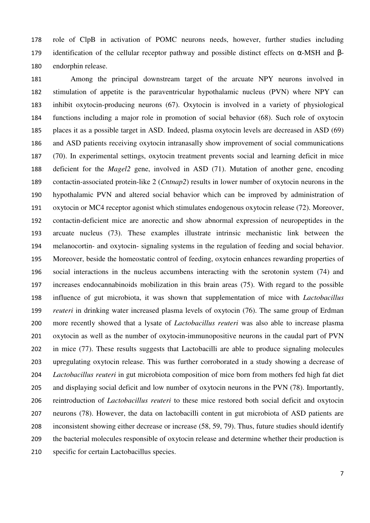role of ClpB in activation of POMC neurons needs, however, further studies including 179 identification of the cellular receptor pathway and possible distinct effects on  $\alpha$ -MSH and  $\beta$ -endorphin release.

Among the principal downstream target of the arcuate NPY neurons involved in stimulation of appetite is the paraventricular hypothalamic nucleus (PVN) where NPY can inhibit oxytocin-producing neurons (67). Oxytocin is involved in a variety of physiological functions including a major role in promotion of social behavior (68). Such role of oxytocin places it as a possible target in ASD. Indeed, plasma oxytocin levels are decreased in ASD (69) and ASD patients receiving oxytocin intranasally show improvement of social communications (70). In experimental settings, oxytocin treatment prevents social and learning deficit in mice deficient for the *Magel2* gene, involved in ASD (71). Mutation of another gene, encoding contactin-associated protein-like 2 (*Cntnap2*) results in lower number of oxytocin neurons in the hypothalamic PVN and altered social behavior which can be improved by administration of oxytocin or MC4 receptor agonist which stimulates endogenous oxytocin release (72). Moreover, contactin-deficient mice are anorectic and show abnormal expression of neuropeptides in the arcuate nucleus (73). These examples illustrate intrinsic mechanistic link between the melanocortin- and oxytocin- signaling systems in the regulation of feeding and social behavior. Moreover, beside the homeostatic control of feeding, oxytocin enhances rewarding properties of social interactions in the nucleus accumbens interacting with the serotonin system (74) and increases endocannabinoids mobilization in this brain areas (75). With regard to the possible influence of gut microbiota, it was shown that supplementation of mice with *Lactobacillus reuteri* in drinking water increased plasma levels of oxytocin (76). The same group of Erdman more recently showed that a lysate of *Lactobacillus reuteri* was also able to increase plasma oxytocin as well as the number of oxytocin-immunopositive neurons in the caudal part of PVN in mice (77). These results suggests that Lactobacilli are able to produce signaling molecules upregulating oxytocin release. This was further corroborated in a study showing a decrease of *Lactobacillus reuteri* in gut microbiota composition of mice born from mothers fed high fat diet and displaying social deficit and low number of oxytocin neurons in the PVN (78). Importantly, reintroduction of *Lactobacillus reuteri* to these mice restored both social deficit and oxytocin neurons (78). However, the data on lactobacilli content in gut microbiota of ASD patients are inconsistent showing either decrease or increase (58, 59, 79). Thus, future studies should identify the bacterial molecules responsible of oxytocin release and determine whether their production is specific for certain Lactobacillus species.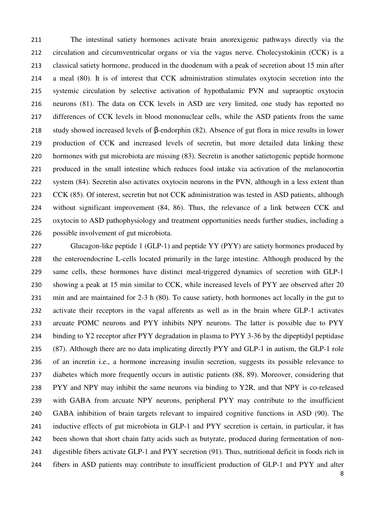The intestinal satiety hormones activate brain anorexigenic pathways directly via the circulation and circumventricular organs or via the vagus nerve. Cholecystokinin (CCK) is a classical satiety hormone, produced in the duodenum with a peak of secretion about 15 min after a meal (80). It is of interest that CCK administration stimulates oxytocin secretion into the systemic circulation by selective activation of hypothalamic PVN and supraoptic oxytocin neurons (81). The data on CCK levels in ASD are very limited, one study has reported no differences of CCK levels in blood mononuclear cells, while the ASD patients from the same study showed increased levels of β-endorphin (82). Absence of gut flora in mice results in lower production of CCK and increased levels of secretin, but more detailed data linking these hormones with gut microbiota are missing (83). Secretin is another satietogenic peptide hormone produced in the small intestine which reduces food intake via activation of the melanocortin system (84). Secretin also activates oxytocin neurons in the PVN, although in a less extent than 223 CCK (85). Of interest, secretin but not CCK administration was tested in ASD patients, although without significant improvement (84, 86). Thus, the relevance of a link between CCK and oxytocin to ASD pathophysiology and treatment opportunities needs further studies, including a possible involvement of gut microbiota.

Glucagon-like peptide 1 (GLP-1) and peptide YY (PYY) are satiety hormones produced by the enteroendocrine L-cells located primarily in the large intestine. Although produced by the same cells, these hormones have distinct meal-triggered dynamics of secretion with GLP-1 showing a peak at 15 min similar to CCK, while increased levels of PYY are observed after 20 min and are maintained for 2-3 h (80). To cause satiety, both hormones act locally in the gut to activate their receptors in the vagal afferents as well as in the brain where GLP-1 activates arcuate POMC neurons and PYY inhibits NPY neurons. The latter is possible due to PYY binding to Y2 receptor after PYY degradation in plasma to PYY 3-36 by the dipeptidyl peptidase (87). Although there are no data implicating directly PYY and GLP-1 in autism, the GLP-1 role of an incretin i.e., a hormone increasing insulin secretion, suggests its possible relevance to diabetes which more frequently occurs in autistic patients (88, 89). Moreover, considering that PYY and NPY may inhibit the same neurons via binding to Y2R, and that NPY is co-released with GABA from arcuate NPY neurons, peripheral PYY may contribute to the insufficient GABA inhibition of brain targets relevant to impaired cognitive functions in ASD (90). The inductive effects of gut microbiota in GLP-1 and PYY secretion is certain, in particular, it has been shown that short chain fatty acids such as butyrate, produced during fermentation of non-digestible fibers activate GLP-1 and PYY secretion (91). Thus, nutritional deficit in foods rich in fibers in ASD patients may contribute to insufficient production of GLP-1 and PYY and alter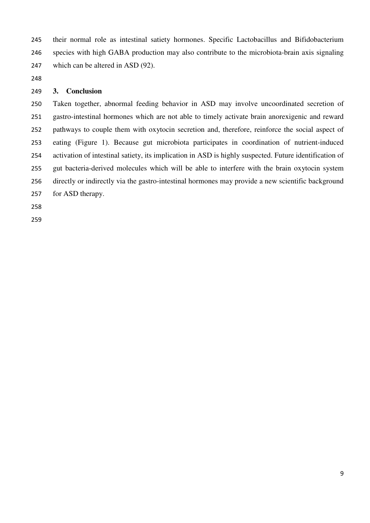their normal role as intestinal satiety hormones. Specific Lactobacillus and Bifidobacterium species with high GABA production may also contribute to the microbiota-brain axis signaling 247 which can be altered in ASD (92).

### **3. Conclusion**

Taken together, abnormal feeding behavior in ASD may involve uncoordinated secretion of gastro-intestinal hormones which are not able to timely activate brain anorexigenic and reward pathways to couple them with oxytocin secretion and, therefore, reinforce the social aspect of eating (Figure 1). Because gut microbiota participates in coordination of nutrient-induced activation of intestinal satiety, its implication in ASD is highly suspected. Future identification of gut bacteria-derived molecules which will be able to interfere with the brain oxytocin system directly or indirectly via the gastro-intestinal hormones may provide a new scientific background for ASD therapy.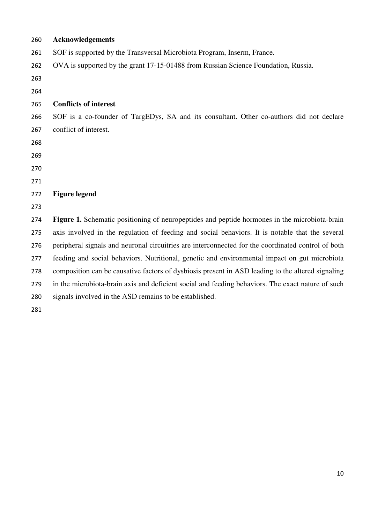| 260 | <b>Acknowledgements</b>                                                                            |
|-----|----------------------------------------------------------------------------------------------------|
| 261 | SOF is supported by the Transversal Microbiota Program, Inserm, France.                            |
| 262 | OVA is supported by the grant 17-15-01488 from Russian Science Foundation, Russia.                 |
| 263 |                                                                                                    |
| 264 |                                                                                                    |
| 265 | <b>Conflicts of interest</b>                                                                       |
| 266 | SOF is a co-founder of TargEDys, SA and its consultant. Other co-authors did not declare           |
| 267 | conflict of interest.                                                                              |
| 268 |                                                                                                    |
| 269 |                                                                                                    |
| 270 |                                                                                                    |
| 271 |                                                                                                    |
| 272 | <b>Figure legend</b>                                                                               |
| 273 |                                                                                                    |
| 274 | Figure 1. Schematic positioning of neuropeptides and peptide hormones in the microbiota-brain      |
| 275 | axis involved in the regulation of feeding and social behaviors. It is notable that the several    |
| 276 | peripheral signals and neuronal circuitries are interconnected for the coordinated control of both |
| 277 | feeding and social behaviors. Nutritional, genetic and environmental impact on gut microbiota      |
| 278 | composition can be causative factors of dysbiosis present in ASD leading to the altered signaling  |
| 279 | in the microbiota-brain axis and deficient social and feeding behaviors. The exact nature of such  |
| 280 | signals involved in the ASD remains to be established.                                             |
| 281 |                                                                                                    |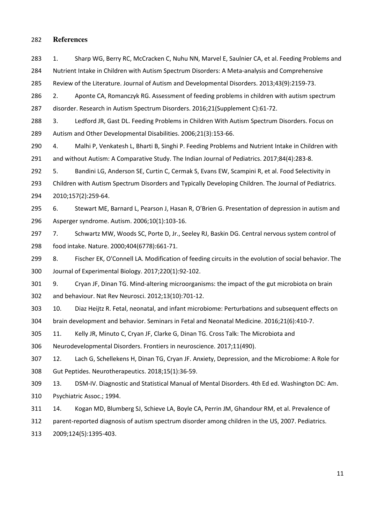#### 282 **References**

283 1. Sharp WG, Berry RC, McCracken C, Nuhu NN, Marvel E, Saulnier CA, et al. Feeding Problems and 284 Nutrient Intake in Children with Autism Spectrum Disorders: A Meta-analysis and Comprehensive

285 Review of the Literature. Journal of Autism and Developmental Disorders. 2013;43(9):2159-73.

286 2. Aponte CA, Romanczyk RG. Assessment of feeding problems in children with autism spectrum 287 disorder. Research in Autism Spectrum Disorders. 2016;21(Supplement C):61-72.

288 3. Ledford JR, Gast DL. Feeding Problems in Children With Autism Spectrum Disorders. Focus on 289 Autism and Other Developmental Disabilities. 2006;21(3):153-66.

290 4. Malhi P, Venkatesh L, Bharti B, Singhi P. Feeding Problems and Nutrient Intake in Children with 291 and without Autism: A Comparative Study. The Indian Journal of Pediatrics. 2017;84(4):283-8.

292 5. Bandini LG, Anderson SE, Curtin C, Cermak S, Evans EW, Scampini R, et al. Food Selectivity in 293 Children with Autism Spectrum Disorders and Typically Developing Children. The Journal of Pediatrics. 294 2010;157(2):259-64.

295 6. Stewart ME, Barnard L, Pearson J, Hasan R, O'Brien G. Presentation of depression in autism and 296 Asperger syndrome. Autism. 2006;10(1):103-16.

297 7. Schwartz MW, Woods SC, Porte D, Jr., Seeley RJ, Baskin DG. Central nervous system control of 298 food intake. Nature. 2000;404(6778):661-71.

299 8. Fischer EK, O'Connell LA. Modification of feeding circuits in the evolution of social behavior. The 300 Journal of Experimental Biology. 2017;220(1):92-102.

301 9. Cryan JF, Dinan TG. Mind-altering microorganisms: the impact of the gut microbiota on brain 302 and behaviour. Nat Rev Neurosci. 2012;13(10):701-12.

303 10. Diaz Heijtz R. Fetal, neonatal, and infant microbiome: Perturbations and subsequent effects on 304 brain development and behavior. Seminars in Fetal and Neonatal Medicine. 2016;21(6):410-7.

305 11. Kelly JR, Minuto C, Cryan JF, Clarke G, Dinan TG. Cross Talk: The Microbiota and

306 Neurodevelopmental Disorders. Frontiers in neuroscience. 2017;11(490).

307 12. Lach G, Schellekens H, Dinan TG, Cryan JF. Anxiety, Depression, and the Microbiome: A Role for 308 Gut Peptides. Neurotherapeutics. 2018;15(1):36-59.

309 13. DSM-IV. Diagnostic and Statistical Manual of Mental Disorders. 4th Ed ed. Washington DC: Am. 310 Psychiatric Assoc.; 1994.

311 14. Kogan MD, Blumberg SJ, Schieve LA, Boyle CA, Perrin JM, Ghandour RM, et al. Prevalence of

312 parent-reported diagnosis of autism spectrum disorder among children in the US, 2007. Pediatrics.

313 2009;124(5):1395-403.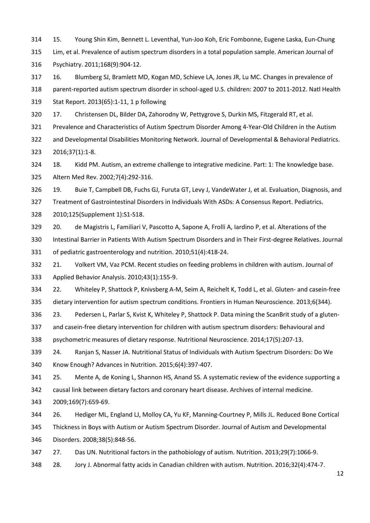314 15. Young Shin Kim, Bennett L. Leventhal, Yun-Joo Koh, Eric Fombonne, Eugene Laska, Eun-Chung 315 Lim, et al. Prevalence of autism spectrum disorders in a total population sample. American Journal of 316 Psychiatry. 2011;168(9):904-12.

317 16. Blumberg SJ, Bramlett MD, Kogan MD, Schieve LA, Jones JR, Lu MC. Changes in prevalence of 318 parent-reported autism spectrum disorder in school-aged U.S. children: 2007 to 2011-2012. Natl Health 319 Stat Report. 2013(65):1-11, 1 p following

320 17. Christensen DL, Bilder DA, Zahorodny W, Pettygrove S, Durkin MS, Fitzgerald RT, et al.

321 Prevalence and Characteristics of Autism Spectrum Disorder Among 4-Year-Old Children in the Autism

322 and Developmental Disabilities Monitoring Network. Journal of Developmental & Behavioral Pediatrics. 323 2016;37(1):1-8.

324 18. Kidd PM. Autism, an extreme challenge to integrative medicine. Part: 1: The knowledge base. 325 Altern Med Rev. 2002;7(4):292-316.

326 19. Buie T, Campbell DB, Fuchs GJ, Furuta GT, Levy J, VandeWater J, et al. Evaluation, Diagnosis, and

327 Treatment of Gastrointestinal Disorders in Individuals With ASDs: A Consensus Report. Pediatrics.

328 2010;125(Supplement 1):S1-S18.

329 20. de Magistris L, Familiari V, Pascotto A, Sapone A, Frolli A, Iardino P, et al. Alterations of the

330 Intestinal Barrier in Patients With Autism Spectrum Disorders and in Their First-degree Relatives. Journal 331 of pediatric gastroenterology and nutrition. 2010;51(4):418-24.

332 21. Volkert VM, Vaz PCM. Recent studies on feeding problems in children with autism. Journal of 333 Applied Behavior Analysis. 2010;43(1):155-9.

334 22. Whiteley P, Shattock P, Knivsberg A-M, Seim A, Reichelt K, Todd L, et al. Gluten- and casein-free 335 dietary intervention for autism spectrum conditions. Frontiers in Human Neuroscience. 2013;6(344).

336 23. Pedersen L, Parlar S, Kvist K, Whiteley P, Shattock P. Data mining the ScanBrit study of a gluten-

337 and casein-free dietary intervention for children with autism spectrum disorders: Behavioural and

338 psychometric measures of dietary response. Nutritional Neuroscience. 2014;17(5):207-13.

339 24. Ranjan S, Nasser JA. Nutritional Status of Individuals with Autism Spectrum Disorders: Do We 340 Know Enough? Advances in Nutrition. 2015;6(4):397-407.

341 25. Mente A, de Koning L, Shannon HS, Anand SS. A systematic review of the evidence supporting a 342 causal link between dietary factors and coronary heart disease. Archives of internal medicine.

343 2009;169(7):659-69.

344 26. Hediger ML, England LJ, Molloy CA, Yu KF, Manning-Courtney P, Mills JL. Reduced Bone Cortical

345 Thickness in Boys with Autism or Autism Spectrum Disorder. Journal of Autism and Developmental 346 Disorders. 2008;38(5):848-56.

347 27. Das UN. Nutritional factors in the pathobiology of autism. Nutrition. 2013;29(7):1066-9.

348 28. Jory J. Abnormal fatty acids in Canadian children with autism. Nutrition. 2016;32(4):474-7.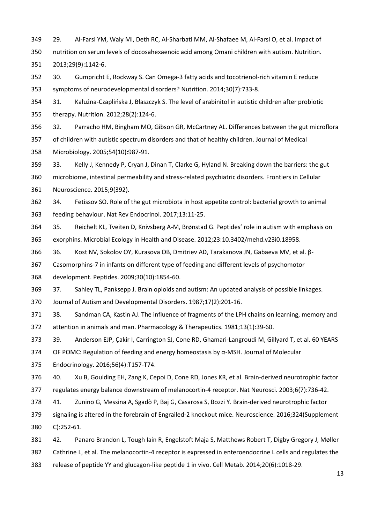349 29. Al-Farsi YM, Waly MI, Deth RC, Al-Sharbati MM, Al-Shafaee M, Al-Farsi O, et al. Impact of 350 nutrition on serum levels of docosahexaenoic acid among Omani children with autism. Nutrition.

351 2013;29(9):1142-6.

352 30. Gumpricht E, Rockway S. Can Omega-3 fatty acids and tocotrienol-rich vitamin E reduce 353 symptoms of neurodevelopmental disorders? Nutrition. 2014;30(7):733-8.

354 31. Kałużna-Czaplińska J, Błaszczyk S. The level of arabinitol in autistic children after probiotic 355 therapy. Nutrition. 2012;28(2):124-6.

356 32. Parracho HM, Bingham MO, Gibson GR, McCartney AL. Differences between the gut microflora 357 of children with autistic spectrum disorders and that of healthy children. Journal of Medical

358 Microbiology. 2005;54(10):987-91.

359 33. Kelly J, Kennedy P, Cryan J, Dinan T, Clarke G, Hyland N. Breaking down the barriers: the gut 360 microbiome, intestinal permeability and stress-related psychiatric disorders. Frontiers in Cellular 361 Neuroscience. 2015;9(392).

362 34. Fetissov SO. Role of the gut microbiota in host appetite control: bacterial growth to animal 363 feeding behaviour. Nat Rev Endocrinol. 2017;13:11-25.

364 35. Reichelt KL, Tveiten D, Knivsberg A-M, Brønstad G. Peptides' role in autism with emphasis on 365 exorphins. Microbial Ecology in Health and Disease. 2012;23:10.3402/mehd.v23i0.18958.

366 36. Kost NV, Sokolov ОY, Kurasova ОB, Dmitriev AD, Tarakanova JN, Gabaeva МV, et al. β-

367 Casomorphins-7 in infants on different type of feeding and different levels of psychomotor

368 development. Peptides. 2009;30(10):1854-60.

369 37. Sahley TL, Panksepp J. Brain opioids and autism: An updated analysis of possible linkages. 370 Journal of Autism and Developmental Disorders. 1987;17(2):201-16.

371 38. Sandman CA, Kastin AJ. The influence of fragments of the LPH chains on learning, memory and 372 attention in animals and man. Pharmacology & Therapeutics. 1981;13(1):39-60.

373 39. Anderson EJP, Çakir I, Carrington SJ, Cone RD, Ghamari-Langroudi M, Gillyard T, et al. 60 YEARS

374 OF POMC: Regulation of feeding and energy homeostasis by α-MSH. Journal of Molecular

375 Endocrinology. 2016;56(4):T157-T74.

376 40. Xu B, Goulding EH, Zang K, Cepoi D, Cone RD, Jones KR, et al. Brain-derived neurotrophic factor 377 regulates energy balance downstream of melanocortin-4 receptor. Nat Neurosci. 2003;6(7):736-42.

378 41. Zunino G, Messina A, Sgadò P, Baj G, Casarosa S, Bozzi Y. Brain-derived neurotrophic factor

379 signaling is altered in the forebrain of Engrailed-2 knockout mice. Neuroscience. 2016;324(Supplement 380 C):252-61.

381 42. Panaro Brandon L, Tough Iain R, Engelstoft Maja S, Matthews Robert T, Digby Gregory J, Møller

382 Cathrine L, et al. The melanocortin-4 receptor is expressed in enteroendocrine L cells and regulates the

383 release of peptide YY and glucagon-like peptide 1 in vivo. Cell Metab. 2014;20(6):1018-29.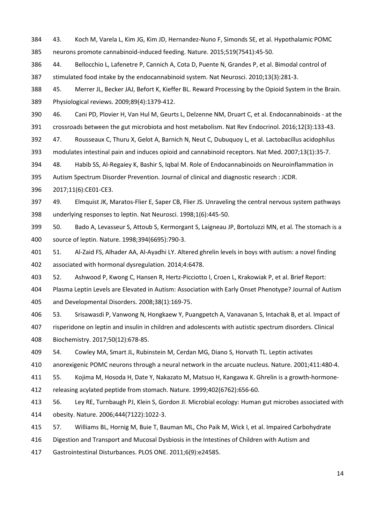384 43. Koch M, Varela L, Kim JG, Kim JD, Hernandez-Nuno F, Simonds SE, et al. Hypothalamic POMC 385 neurons promote cannabinoid-induced feeding. Nature. 2015;519(7541):45-50.

386 44. Bellocchio L, Lafenetre P, Cannich A, Cota D, Puente N, Grandes P, et al. Bimodal control of 387 stimulated food intake by the endocannabinoid system. Nat Neurosci. 2010;13(3):281-3.

388 45. Merrer JL, Becker JAJ, Befort K, Kieffer BL. Reward Processing by the Opioid System in the Brain. 389 Physiological reviews. 2009;89(4):1379-412.

390 46. Cani PD, Plovier H, Van Hul M, Geurts L, Delzenne NM, Druart C, et al. Endocannabinoids - at the 391 crossroads between the gut microbiota and host metabolism. Nat Rev Endocrinol. 2016;12(3):133-43.

392 47. Rousseaux C, Thuru X, Gelot A, Barnich N, Neut C, Dubuquoy L, et al. Lactobacillus acidophilus 393 modulates intestinal pain and induces opioid and cannabinoid receptors. Nat Med. 2007;13(1):35-7.

394 48. Habib SS, Al-Regaiey K, Bashir S, Iqbal M. Role of Endocannabinoids on Neuroinflammation in

395 Autism Spectrum Disorder Prevention. Journal of clinical and diagnostic research : JCDR.

396 2017;11(6):CE01-CE3.

397 49. Elmquist JK, Maratos-Flier E, Saper CB, Flier JS. Unraveling the central nervous system pathways 398 underlying responses to leptin. Nat Neurosci. 1998;1(6):445-50.

399 50. Bado A, Levasseur S, Attoub S, Kermorgant S, Laigneau JP, Bortoluzzi MN, et al. The stomach is a 400 source of leptin. Nature. 1998;394(6695):790-3.

401 51. Al-Zaid FS, Alhader AA, Al-Ayadhi LY. Altered ghrelin levels in boys with autism: a novel finding 402 associated with hormonal dysregulation. 2014;4:6478.

403 52. Ashwood P, Kwong C, Hansen R, Hertz-Picciotto I, Croen L, Krakowiak P, et al. Brief Report:

404 Plasma Leptin Levels are Elevated in Autism: Association with Early Onset Phenotype? Journal of Autism 405 and Developmental Disorders. 2008;38(1):169-75.

406 53. Srisawasdi P, Vanwong N, Hongkaew Y, Puangpetch A, Vanavanan S, Intachak B, et al. Impact of

407 risperidone on leptin and insulin in children and adolescents with autistic spectrum disorders. Clinical 408 Biochemistry. 2017;50(12):678-85.

409 54. Cowley MA, Smart JL, Rubinstein M, Cerdan MG, Diano S, Horvath TL. Leptin activates

410 anorexigenic POMC neurons through a neural network in the arcuate nucleus. Nature. 2001;411:480-4.

411 55. Kojima M, Hosoda H, Date Y, Nakazato M, Matsuo H, Kangawa K. Ghrelin is a growth-hormone-

412 releasing acylated peptide from stomach. Nature. 1999;402(6762):656-60.

413 56. Ley RE, Turnbaugh PJ, Klein S, Gordon JI. Microbial ecology: Human gut microbes associated with 414 obesity. Nature. 2006;444(7122):1022-3.

415 57. Williams BL, Hornig M, Buie T, Bauman ML, Cho Paik M, Wick I, et al. Impaired Carbohydrate

416 Digestion and Transport and Mucosal Dysbiosis in the Intestines of Children with Autism and

417 Gastrointestinal Disturbances. PLOS ONE. 2011;6(9):e24585.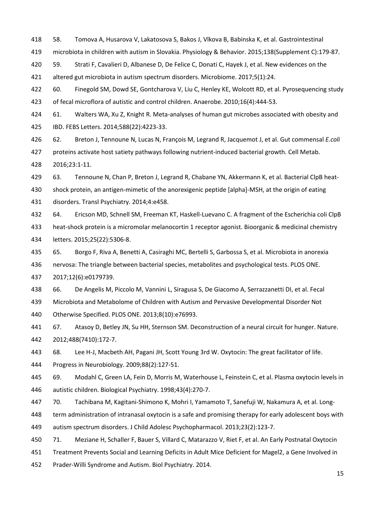418 58. Tomova A, Husarova V, Lakatosova S, Bakos J, Vlkova B, Babinska K, et al. Gastrointestinal

419 microbiota in children with autism in Slovakia. Physiology & Behavior. 2015;138(Supplement C):179-87.

420 59. Strati F, Cavalieri D, Albanese D, De Felice C, Donati C, Hayek J, et al. New evidences on the

421 altered gut microbiota in autism spectrum disorders. Microbiome. 2017;5(1):24.

422 60. Finegold SM, Dowd SE, Gontcharova V, Liu C, Henley KE, Wolcott RD, et al. Pyrosequencing study 423 of fecal microflora of autistic and control children. Anaerobe. 2010;16(4):444-53.

424 61. Walters WA, Xu Z, Knight R. Meta-analyses of human gut microbes associated with obesity and 425 IBD. FEBS Letters. 2014;588(22):4223-33.

426 62. Breton J, Tennoune N, Lucas N, François M, Legrand R, Jacquemot J, et al. Gut commensal *E.coli* 427 proteins activate host satiety pathways following nutrient-induced bacterial growth. Cell Metab.

428 2016;23:1-11.

429 63. Tennoune N, Chan P, Breton J, Legrand R, Chabane YN, Akkermann K, et al. Bacterial ClpB heat-

430 shock protein, an antigen-mimetic of the anorexigenic peptide [alpha]-MSH, at the origin of eating 431 disorders. Transl Psychiatry. 2014;4:e458.

432 64. Ericson MD, Schnell SM, Freeman KT, Haskell-Luevano C. A fragment of the Escherichia coli ClpB 433 heat-shock protein is a micromolar melanocortin 1 receptor agonist. Bioorganic & medicinal chemistry 434 letters. 2015;25(22):5306-8.

435 65. Borgo F, Riva A, Benetti A, Casiraghi MC, Bertelli S, Garbossa S, et al. Microbiota in anorexia 436 nervosa: The triangle between bacterial species, metabolites and psychological tests. PLOS ONE. 437 2017;12(6):e0179739.

438 66. De Angelis M, Piccolo M, Vannini L, Siragusa S, De Giacomo A, Serrazzanetti DI, et al. Fecal 439 Microbiota and Metabolome of Children with Autism and Pervasive Developmental Disorder Not 440 Otherwise Specified. PLOS ONE. 2013;8(10):e76993.

441 67. Atasoy D, Betley JN, Su HH, Sternson SM. Deconstruction of a neural circuit for hunger. Nature. 442 2012;488(7410):172-7.

443 68. Lee H-J, Macbeth AH, Pagani JH, Scott Young 3rd W. Oxytocin: The great facilitator of life.

444 Progress in Neurobiology. 2009;88(2):127-51.

445 69. Modahl C, Green LA, Fein D, Morris M, Waterhouse L, Feinstein C, et al. Plasma oxytocin levels in 446 autistic children. Biological Psychiatry. 1998;43(4):270-7.

447 70. Tachibana M, Kagitani-Shimono K, Mohri I, Yamamoto T, Sanefuji W, Nakamura A, et al. Long-

448 term administration of intranasal oxytocin is a safe and promising therapy for early adolescent boys with

449 autism spectrum disorders. J Child Adolesc Psychopharmacol. 2013;23(2):123-7.

450 71. Meziane H, Schaller F, Bauer S, Villard C, Matarazzo V, Riet F, et al. An Early Postnatal Oxytocin

451 Treatment Prevents Social and Learning Deficits in Adult Mice Deficient for Magel2, a Gene Involved in

452 Prader-Willi Syndrome and Autism. Biol Psychiatry. 2014.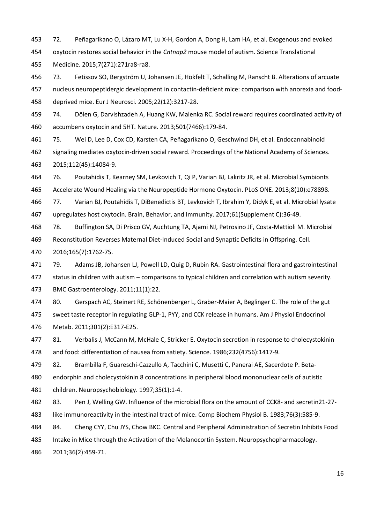453 72. Peñagarikano O, Lázaro MT, Lu X-H, Gordon A, Dong H, Lam HA, et al. Exogenous and evoked 454 oxytocin restores social behavior in the *Cntnap2* mouse model of autism. Science Translational 455 Medicine. 2015;7(271):271ra8-ra8.

456 73. Fetissov SO, Bergström U, Johansen JE, Hökfelt T, Schalling M, Ranscht B. Alterations of arcuate 457 nucleus neuropeptidergic development in contactin-deficient mice: comparison with anorexia and food-458 deprived mice. Eur J Neurosci. 2005;22(12):3217-28.

459 74. Dölen G, Darvishzadeh A, Huang KW, Malenka RC. Social reward requires coordinated activity of 460 accumbens oxytocin and 5HT. Nature. 2013;501(7466):179-84.

461 75. Wei D, Lee D, Cox CD, Karsten CA, Peñagarikano O, Geschwind DH, et al. Endocannabinoid 462 signaling mediates oxytocin-driven social reward. Proceedings of the National Academy of Sciences. 463 2015;112(45):14084-9.

464 76. Poutahidis T, Kearney SM, Levkovich T, Qi P, Varian BJ, Lakritz JR, et al. Microbial Symbionts 465 Accelerate Wound Healing via the Neuropeptide Hormone Oxytocin. PLoS ONE. 2013;8(10):e78898.

466 77. Varian BJ, Poutahidis T, DiBenedictis BT, Levkovich T, Ibrahim Y, Didyk E, et al. Microbial lysate 467 upregulates host oxytocin. Brain, Behavior, and Immunity. 2017;61(Supplement C):36-49.

468 78. Buffington SA, Di Prisco GV, Auchtung TA, Ajami NJ, Petrosino JF, Costa-Mattioli M. Microbial

469 Reconstitution Reverses Maternal Diet-Induced Social and Synaptic Deficits in Offspring. Cell.

470 2016;165(7):1762-75.

471 79. Adams JB, Johansen LJ, Powell LD, Quig D, Rubin RA. Gastrointestinal flora and gastrointestinal 472 status in children with autism – comparisons to typical children and correlation with autism severity. 473 BMC Gastroenterology. 2011;11(1):22.

474 80. Gerspach AC, Steinert RE, Schönenberger L, Graber-Maier A, Beglinger C. The role of the gut 475 sweet taste receptor in regulating GLP-1, PYY, and CCK release in humans. Am J Physiol Endocrinol 476 Metab. 2011;301(2):E317-E25.

477 81. Verbalis J, McCann M, McHale C, Stricker E. Oxytocin secretion in response to cholecystokinin 478 and food: differentiation of nausea from satiety. Science. 1986;232(4756):1417-9.

479 82. Brambilla F, Guareschi-Cazzullo A, Tacchini C, Musetti C, Panerai AE, Sacerdote P. Beta-

480 endorphin and cholecystokinin 8 concentrations in peripheral blood mononuclear cells of autistic 481 children. Neuropsychobiology. 1997;35(1):1-4.

482 83. Pen J, Welling GW. Influence of the microbial flora on the amount of CCK8- and secretin21-27- 483 like immunoreactivity in the intestinal tract of mice. Comp Biochem Physiol B. 1983;76(3):585-9.

484 84. Cheng CYY, Chu JYS, Chow BKC. Central and Peripheral Administration of Secretin Inhibits Food 485 Intake in Mice through the Activation of the Melanocortin System. Neuropsychopharmacology.

486 2011;36(2):459-71.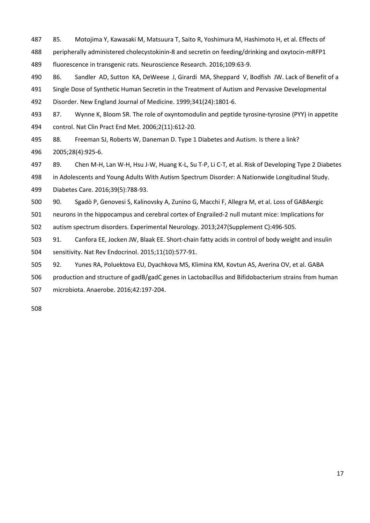- 487 85. Motojima Y, Kawasaki M, Matsuura T, Saito R, Yoshimura M, Hashimoto H, et al. Effects of 488 peripherally administered cholecystokinin-8 and secretin on feeding/drinking and oxytocin-mRFP1 489 fluorescence in transgenic rats. Neuroscience Research. 2016;109:63-9.
- 490 86. Sandler AD, Sutton KA, DeWeese J, Girardi MA, Sheppard V, Bodfish JW. Lack of Benefit of a 491 Single Dose of Synthetic Human Secretin in the Treatment of Autism and Pervasive Developmental 492 Disorder. New England Journal of Medicine. 1999;341(24):1801-6.
- 493 87. Wynne K, Bloom SR. The role of oxyntomodulin and peptide tyrosine-tyrosine (PYY) in appetite 494 control. Nat Clin Pract End Met. 2006;2(11):612-20.
- 495 88. Freeman SJ, Roberts W, Daneman D. Type 1 Diabetes and Autism. Is there a link? 496 2005;28(4):925-6.
- 497 89. Chen M-H, Lan W-H, Hsu J-W, Huang K-L, Su T-P, Li C-T, et al. Risk of Developing Type 2 Diabetes 498 in Adolescents and Young Adults With Autism Spectrum Disorder: A Nationwide Longitudinal Study.

499 Diabetes Care. 2016;39(5):788-93.

- 500 90. Sgadò P, Genovesi S, Kalinovsky A, Zunino G, Macchi F, Allegra M, et al. Loss of GABAergic
- 501 neurons in the hippocampus and cerebral cortex of Engrailed-2 null mutant mice: Implications for
- 502 autism spectrum disorders. Experimental Neurology. 2013;247(Supplement C):496-505.
- 503 91. Canfora EE, Jocken JW, Blaak EE. Short-chain fatty acids in control of body weight and insulin 504 sensitivity. Nat Rev Endocrinol. 2015;11(10):577-91.
- 505 92. Yunes RA, Poluektova EU, Dyachkova MS, Klimina KM, Kovtun AS, Averina OV, et al. GABA
- 506 production and structure of gadB/gadC genes in Lactobacillus and Bifidobacterium strains from human
- 507 microbiota. Anaerobe. 2016;42:197-204.